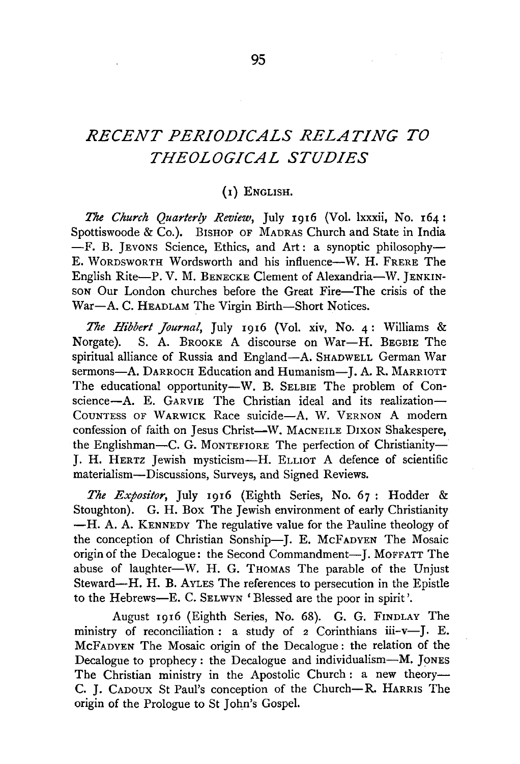## *RECENT PERIODICALS RELATING TO THEOLOGICAL STUDIES*

## (I) ENGLISH.

*17ze Church Quarterly Review,* July 1916 (Vol. lxxxii, No. 164: Spottiswoode & Co.). BISHOP OF MADRAS Church and State in India  $-F.$  B. Jevons Science, Ethics, and Art: a synoptic philosophy-E. WORDSWORTH Wordsworth and his influence-W. H. FRERE The English Rite-P. V. M. BENECKE Clement of Alexandria-W. JENKIN-SON Our London churches before the Great Fire-The crisis of the War-A. C. HEADLAM The Virgin Birth-Short Notices.

*17ze Hibbert Journal,* July 1916 (Vol. xiv, No. 4: Williams & Norgate). S. A. BROOKE A discourse on War-H. BEGBIE The spiritual alliance of Russia and England-A. SHADWELL German War sermons-A. DARROCH Education and Humanism-J. A. R. MARRIOTT The educational opportunity-W. B. SELBIE The problem of Conscience-A. E. GARVIE The Christian ideal and its realization-COUNTESS OF WARWICK Race suicide-A. W. VERNON A modern confession of faith on Jesus Christ-W. MACNEILE DIXON Shakespere, the Englishman-C. G. MONTEFIORE The perfection of Christianity-J. H. HERTZ Jewish mysticism-H. ELLIOT A defence of scientific materialism-Discussions, Surveys, and Signed Reviews.

*The Expositor,* July 1916 (Eighth Series, No. 67 : Hodder & Stoughton). G. H. Box The Jewish environment of early Christianity -H. A. A. KENNEDY The regulative value for the Pauline theology of the conception of Christian Sonship-J. E. McFADYEN The Mosaic origin of the Decalogue: the Second Commandment-I. MOFFATT The abuse of laughter-W. H. G. THOMAS The parable of the Unjust Steward-H. H. B. AvLES The references to persecution in the Epistle to the Hebrews-E. C. SELWYN 'Blessed are the poor in spirit'.

August 1916 (Eighth Series, No. 68). G. G. FINDLAY The ministry of reconciliation : a study of *z* Corinthians iii-v-J. E. McFADYEN The Mosaic origin of the Decalogue: the relation of the Decalogue to prophecy: the Decalogue and individualism--M. JONES The Christian ministry in the Apostolic Church : a new theory-C. J. CAnoux St Paul's conception of the Church-R. HARRIS The origin of the Prologue to St John's Gospel.